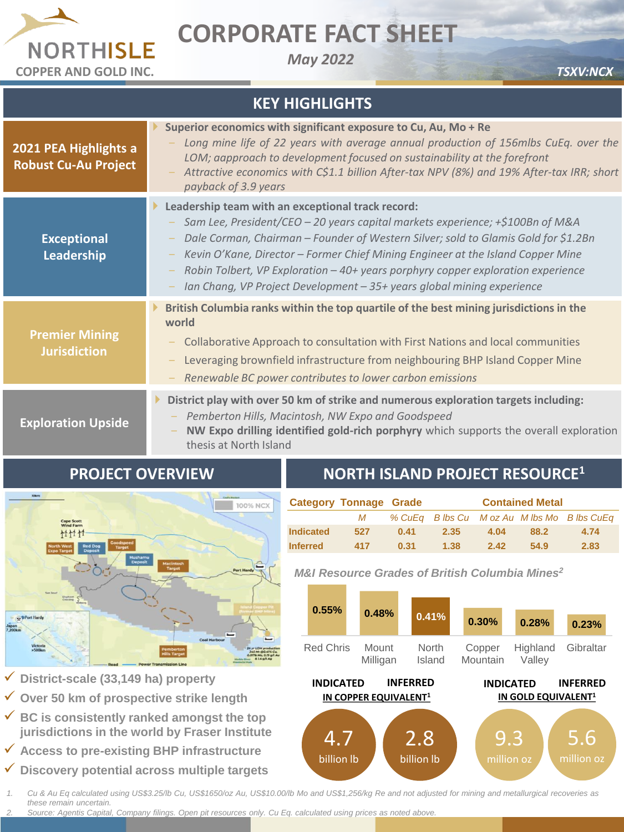

## **CORPORATE FACT SHEET**

*May 2022*

| <b>KEY HIGHLIGHTS</b>                                |                                                                                                                                                                                                                                                                                                                                                                                                                                                                           |  |  |  |  |  |  |
|------------------------------------------------------|---------------------------------------------------------------------------------------------------------------------------------------------------------------------------------------------------------------------------------------------------------------------------------------------------------------------------------------------------------------------------------------------------------------------------------------------------------------------------|--|--|--|--|--|--|
| 2021 PEA Highlights a<br><b>Robust Cu-Au Project</b> | Superior economics with significant exposure to Cu, Au, Mo + Re<br>Long mine life of 22 years with average annual production of 156mlbs CuEq. over the<br>LOM; aapproach to development focused on sustainability at the forefront<br>Attractive economics with C\$1.1 billion After-tax NPV (8%) and 19% After-tax IRR; short<br>payback of 3.9 years                                                                                                                    |  |  |  |  |  |  |
| <b>Exceptional</b><br>Leadership                     | Leadership team with an exceptional track record:<br>Sam Lee, President/CEO - 20 years capital markets experience; +\$100Bn of M&A<br>Dale Corman, Chairman - Founder of Western Silver; sold to Glamis Gold for \$1.2Bn<br>Kevin O'Kane, Director - Former Chief Mining Engineer at the Island Copper Mine<br>Robin Tolbert, VP Exploration - 40+ years porphyry copper exploration experience<br>Ian Chang, VP Project Development - 35+ years global mining experience |  |  |  |  |  |  |
| <b>Premier Mining</b><br><b>Jurisdiction</b>         | British Columbia ranks within the top quartile of the best mining jurisdictions in the<br>world<br>Collaborative Approach to consultation with First Nations and local communities<br>Leveraging brownfield infrastructure from neighbouring BHP Island Copper Mine<br>Renewable BC power contributes to lower carbon emissions                                                                                                                                           |  |  |  |  |  |  |
| <b>Exploration Upside</b>                            | District play with over 50 km of strike and numerous exploration targets including:<br>Pemberton Hills, Macintosh, NW Expo and Goodspeed<br>NW Expo drilling identified gold-rich porphyry which supports the overall exploration<br>thesis at North Island                                                                                                                                                                                                               |  |  |  |  |  |  |



**PROJECT OVERVIEW**

## **NORTH ISLAND PROJECT RESOURCE<sup>1</sup>**

|                  | <b>Category Tonnage Grade</b> | <b>Contained Metal</b> |      |      |      |                                             |
|------------------|-------------------------------|------------------------|------|------|------|---------------------------------------------|
|                  | М                             |                        |      |      |      | % CuEq B lbs Cu M oz Au M lbs Mo B lbs CuEq |
| <b>Indicated</b> | 527                           | 0.41                   | 2.35 | 4.04 | 88.2 | 4.74                                        |
| <b>Inferred</b>  | 417                           | 0.31                   | 1.38 | 2.42 | 54.9 | 2.83                                        |

*M&I Resource Grades of British Columbia Mines<sup>2</sup>*



✓ **District-scale (33,149 ha) property** 

- ✓ **Over 50 km of prospective strike length**
- ✓ **BC is consistently ranked amongst the top jurisdictions in the world by Fraser Institute**
- ✓ **Access to pre-existing BHP infrastructure**
- ✓ **Discovery potential across multiple targets**

*1. Cu & Au Eq calculated using US\$3.25/lb Cu, US\$1650/oz Au, US\$10.00/lb Mo and US\$1,256/kg Re and not adjusted for mining and metallurgical recoveries as these remain uncertain.*

*2. Source: Agentis Capital, Company filings. Open pit resources only. Cu Eq. calculated using prices as noted above.*